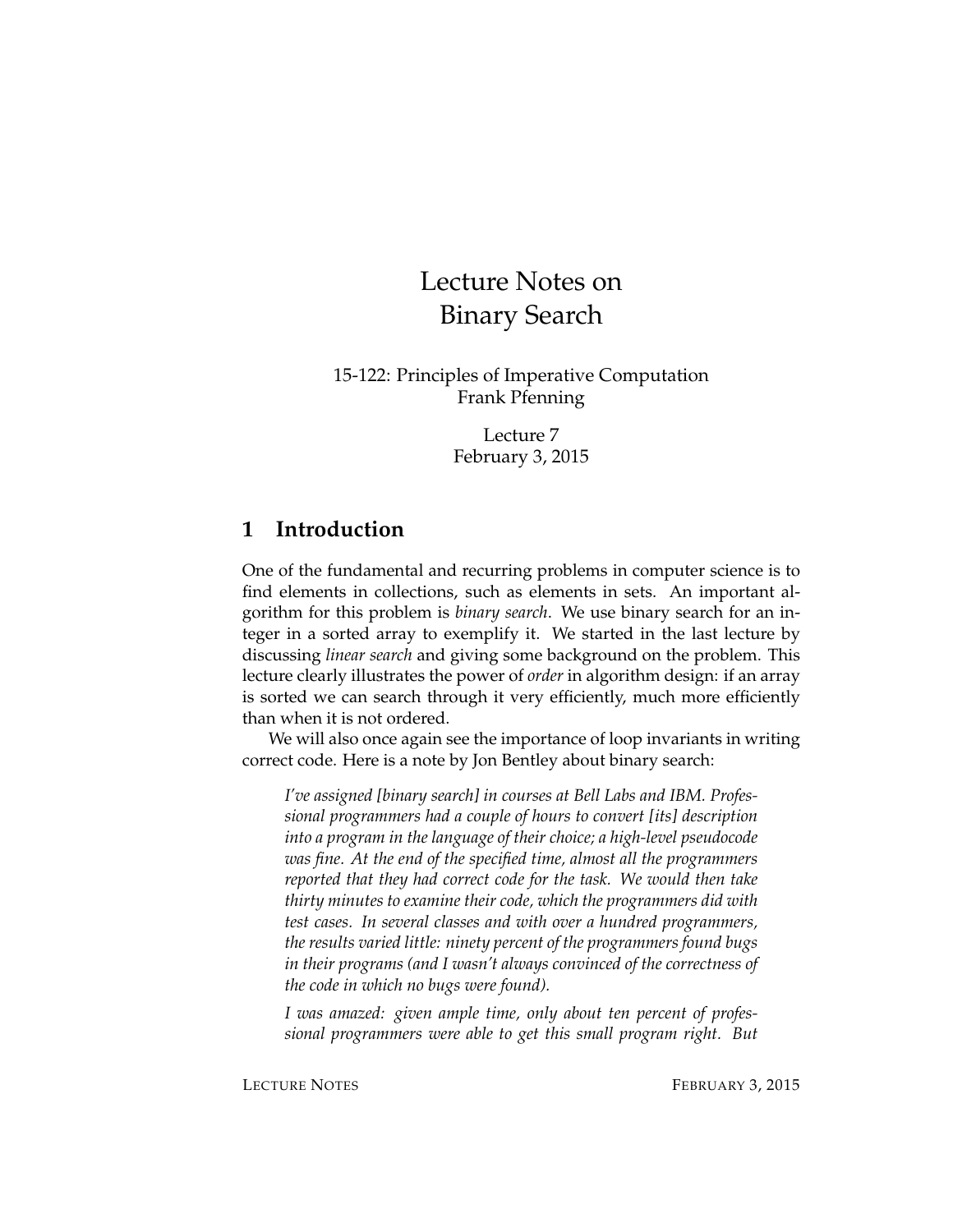# Lecture Notes on Binary Search

15-122: Principles of Imperative Computation Frank Pfenning

> Lecture 7 February 3, 2015

### **1 Introduction**

One of the fundamental and recurring problems in computer science is to find elements in collections, such as elements in sets. An important algorithm for this problem is *binary search*. We use binary search for an integer in a sorted array to exemplify it. We started in the last lecture by discussing *linear search* and giving some background on the problem. This lecture clearly illustrates the power of *order* in algorithm design: if an array is sorted we can search through it very efficiently, much more efficiently than when it is not ordered.

We will also once again see the importance of loop invariants in writing correct code. Here is a note by Jon Bentley about binary search:

*I've assigned [binary search] in courses at Bell Labs and IBM. Professional programmers had a couple of hours to convert [its] description into a program in the language of their choice; a high-level pseudocode was fine. At the end of the specified time, almost all the programmers reported that they had correct code for the task. We would then take thirty minutes to examine their code, which the programmers did with test cases. In several classes and with over a hundred programmers, the results varied little: ninety percent of the programmers found bugs in their programs (and I wasn't always convinced of the correctness of the code in which no bugs were found).*

*I was amazed: given ample time, only about ten percent of professional programmers were able to get this small program right. But*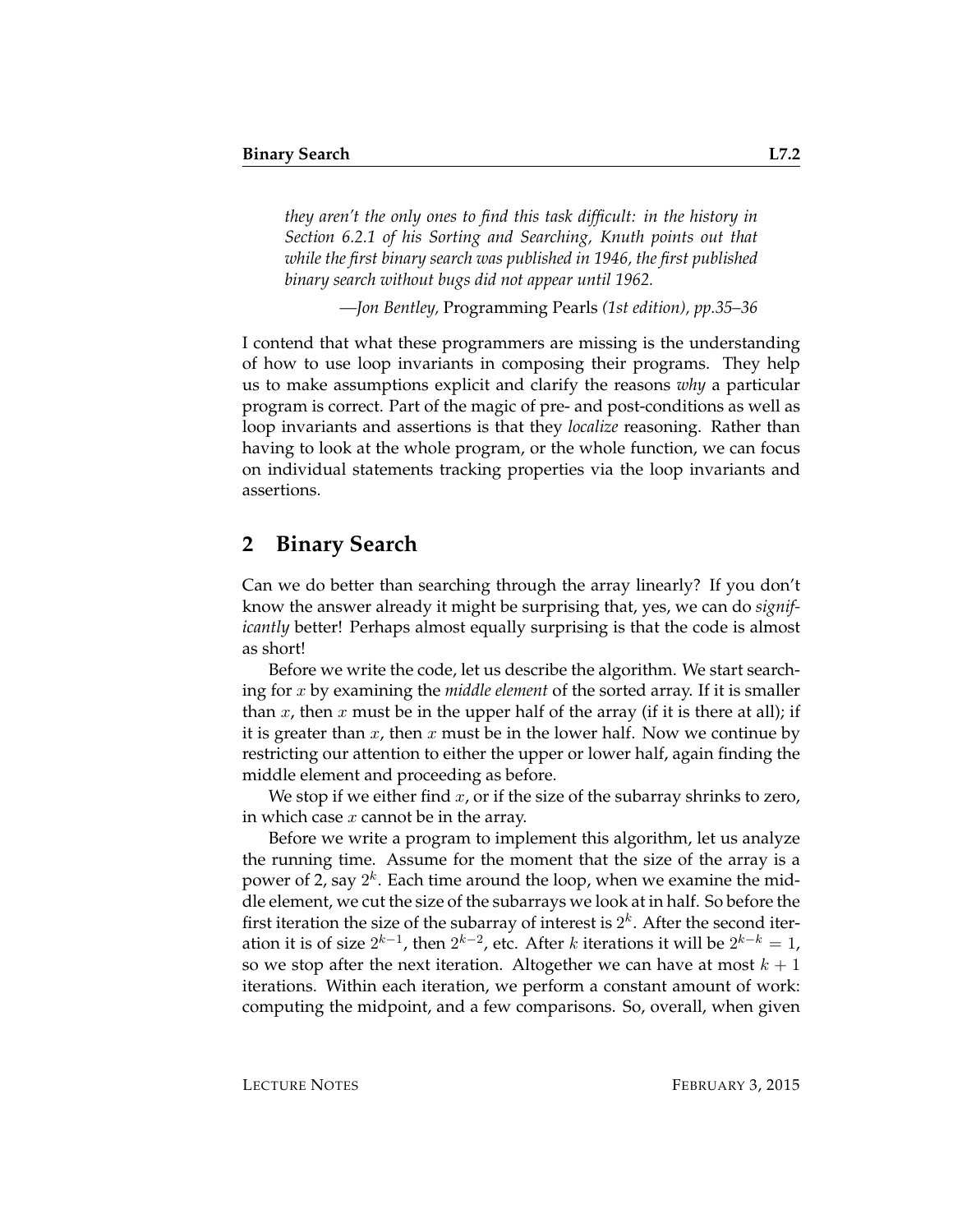*they aren't the only ones to find this task difficult: in the history in Section 6.2.1 of his Sorting and Searching, Knuth points out that while the first binary search was published in 1946, the first published binary search without bugs did not appear until 1962.*

*—Jon Bentley,* Programming Pearls *(1st edition), pp.35–36*

I contend that what these programmers are missing is the understanding of how to use loop invariants in composing their programs. They help us to make assumptions explicit and clarify the reasons *why* a particular program is correct. Part of the magic of pre- and post-conditions as well as loop invariants and assertions is that they *localize* reasoning. Rather than having to look at the whole program, or the whole function, we can focus on individual statements tracking properties via the loop invariants and assertions.

#### **2 Binary Search**

Can we do better than searching through the array linearly? If you don't know the answer already it might be surprising that, yes, we can do *significantly* better! Perhaps almost equally surprising is that the code is almost as short!

Before we write the code, let us describe the algorithm. We start searching for x by examining the *middle element* of the sorted array. If it is smaller than x, then x must be in the upper half of the array (if it is there at all); if it is greater than  $x$ , then  $x$  must be in the lower half. Now we continue by restricting our attention to either the upper or lower half, again finding the middle element and proceeding as before.

We stop if we either find  $x$ , or if the size of the subarray shrinks to zero, in which case  $x$  cannot be in the array.

Before we write a program to implement this algorithm, let us analyze the running time. Assume for the moment that the size of the array is a power of 2, say  $2^k$ . Each time around the loop, when we examine the middle element, we cut the size of the subarrays we look at in half. So before the first iteration the size of the subarray of interest is  $2^k$ . After the second iteration it is of size  $2^{k-1}$ , then  $2^{k-2}$ , etc. After  $k$  iterations it will be  $2^{k-k} = 1$ , so we stop after the next iteration. Altogether we can have at most  $k + 1$ iterations. Within each iteration, we perform a constant amount of work: computing the midpoint, and a few comparisons. So, overall, when given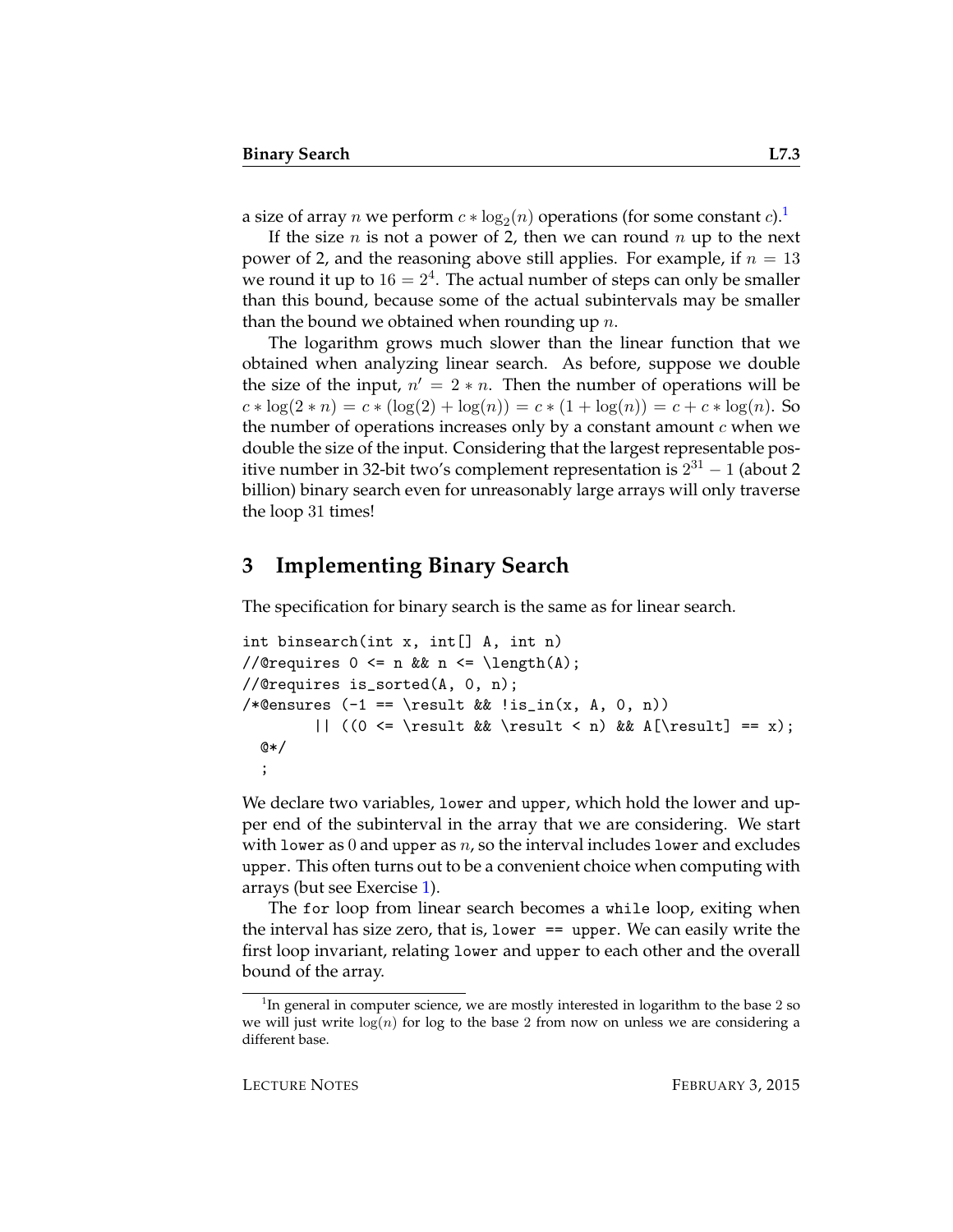a size of array  $n$  we perform  $c * \log_2(n)$  operations (for some constant  $c$ ). $^1$  $^1$ 

If the size *n* is not a power of 2, then we can round *n* up to the next power of 2, and the reasoning above still applies. For example, if  $n = 13$ we round it up to  $16 = 2^4$ . The actual number of steps can only be smaller than this bound, because some of the actual subintervals may be smaller than the bound we obtained when rounding up  $n$ .

The logarithm grows much slower than the linear function that we obtained when analyzing linear search. As before, suppose we double the size of the input,  $n' = 2 * n$ . Then the number of operations will be  $c * \log(2 * n) = c * (\log(2) + \log(n)) = c * (1 + \log(n)) = c + c * \log(n)$ . So the number of operations increases only by a constant amount  $c$  when we double the size of the input. Considering that the largest representable positive number in 32-bit two's complement representation is  $2^{31} - 1$  (about 2 billion) binary search even for unreasonably large arrays will only traverse the loop 31 times!

### **3 Implementing Binary Search**

The specification for binary search is the same as for linear search.

```
int binsearch(int x, int[] A, int n)
//@requires 0 \leq n && n \leq \leq \lambda(1);
//@requires is_sorted(A, 0, n);
/*@ensures (-1 == \result \& \lis_in(x, A, 0, n))|| ((0 \le \result \& \result \le n) \& A[\result] == x);@*/
  ;
```
We declare two variables, lower and upper, which hold the lower and upper end of the subinterval in the array that we are considering. We start with lower as 0 and upper as  $n$ , so the interval includes lower and excludes upper. This often turns out to be a convenient choice when computing with arrays (but see Exercise [1\)](#page-14-0).

The for loop from linear search becomes a while loop, exiting when the interval has size zero, that is, lower == upper. We can easily write the first loop invariant, relating lower and upper to each other and the overall bound of the array.

<span id="page-2-0"></span> $1$ In general in computer science, we are mostly interested in logarithm to the base 2 so we will just write  $log(n)$  for log to the base 2 from now on unless we are considering a different base.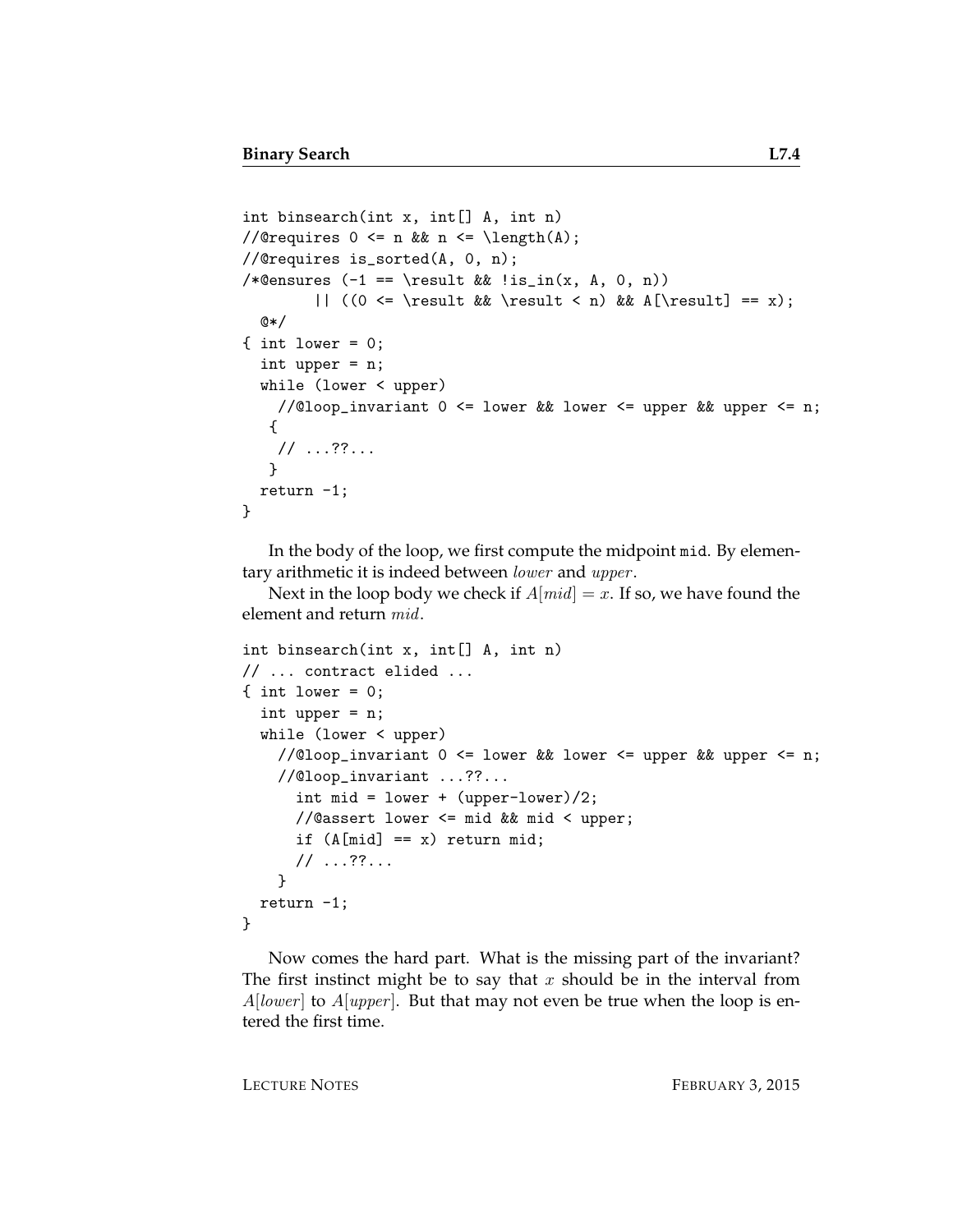```
int binsearch(int x, int [] A, int n)
//@requires 0 \leq n & n \leq \operatorname{length}(A);
//@requires is_sorted(A, 0, n);
/*@ensures (-1 == \result \& !is_in(x, A, 0, n))|| ((0 <= \result && \result < n) && A[\result] == x);
  @*/
\{ int lower = 0;
  int upper = n;
  while (lower < upper)
    //@loop_invariant 0 <= lower && lower <= upper && upper <= n;
   {
    // ...??...
   }
  return -1;
}
```
In the body of the loop, we first compute the midpoint mid. By elementary arithmetic it is indeed between lower and upper.

Next in the loop body we check if  $A[mid] = x$ . If so, we have found the element and return mid.

```
int binsearch(int x, int[] A, int n)
// ... contract elided ...
\{ int lower = 0;
  int upper = n;
  while (lower < upper)
    //@loop_invariant 0 \le lower && lower \le upper && upper \le n;
    //@loop_invariant ...??...
      int mid = lower + (upper-lower)/2;
      //@assert lower <= mid && mid < upper;
      if (A[\text{mid}] == x) return mid;
      // ...??...
    }
  return -1;
}
```
Now comes the hard part. What is the missing part of the invariant? The first instinct might be to say that x should be in the interval from  $A[lower]$  to  $A[upper]$ . But that may not even be true when the loop is entered the first time.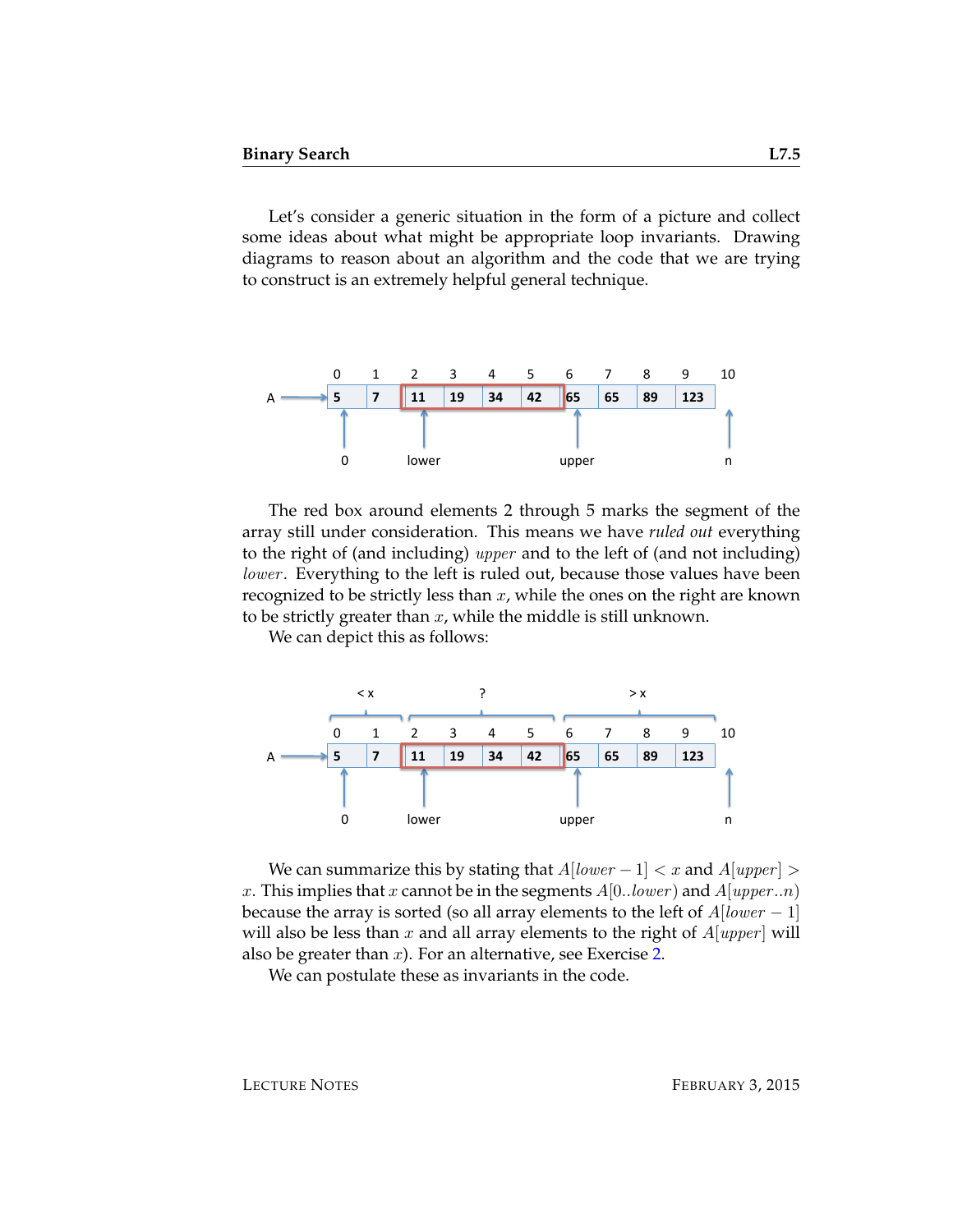Let's consider a generic situation in the form of a picture and collect some ideas about what might be appropriate loop invariants. Drawing diagrams to reason about an algorithm and the code that we are trying to construct is an extremely helpful general technique.



The red box around elements 2 through 5 marks the segment of the array still under consideration. This means we have *ruled out* everything to the right of (and including) upper and to the left of (and not including) lower. Everything to the left is ruled out, because those values have been recognized to be strictly less than  $x$ , while the ones on the right are known to be strictly greater than  $x$ , while the middle is still unknown.

We can depict this as follows:



We can summarize this by stating that  $A[lower-1] < x$  and  $A[upper] >$ x. This implies that x cannot be in the segments  $A[0..lower)$  and  $A[upper..n)$ because the array is sorted (so all array elements to the left of  $A[lower-1]$ will also be less than x and all array elements to the right of  $A[upper]$  will also be greater than  $x$ ). For an alternative, see Exercise [2.](#page-14-1)

We can postulate these as invariants in the code.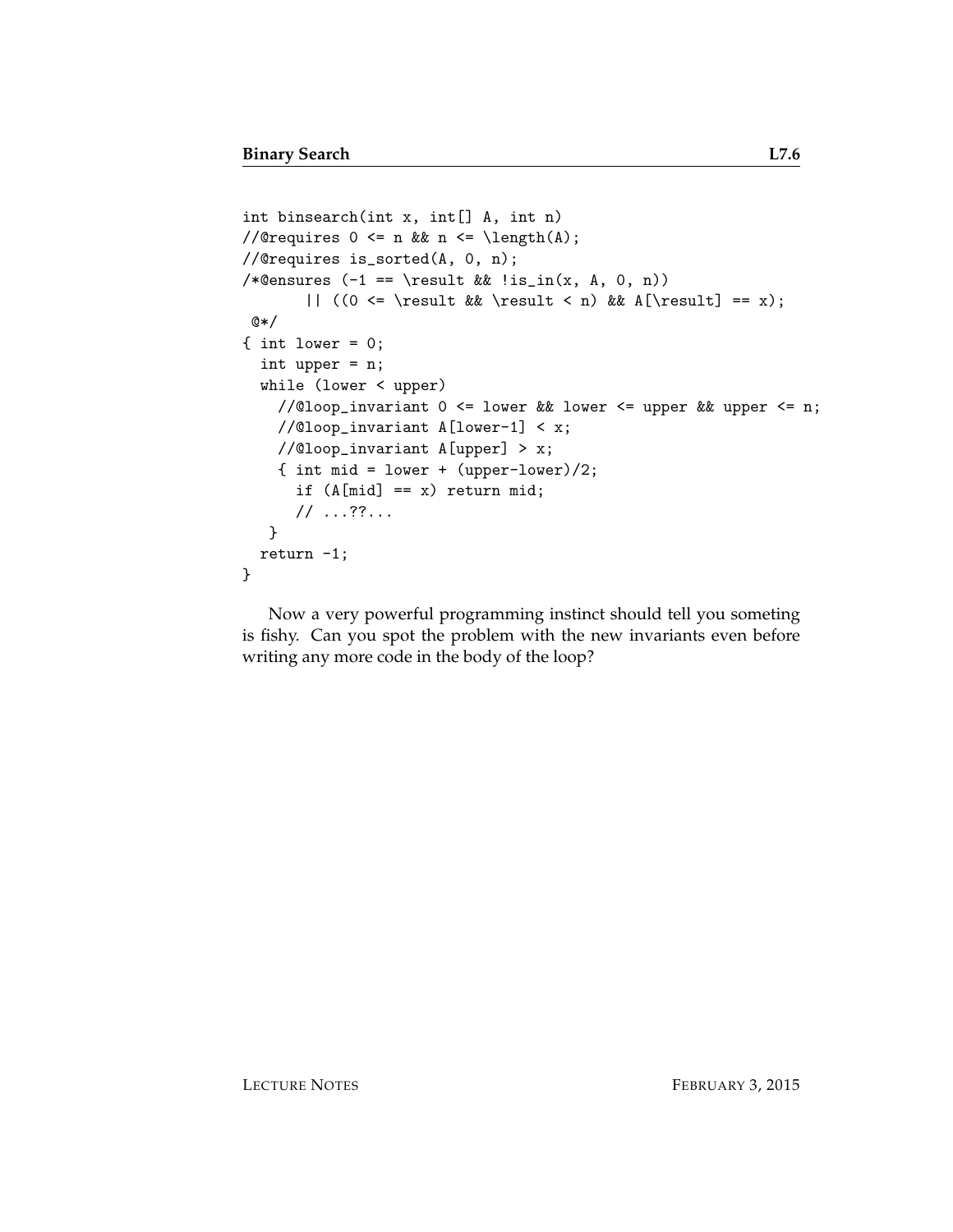```
int binsearch(int x, int[] A, int n)
//@requires 0 \leq n && n \leq \operatorname{length}(A);
//@requires is_sorted(A, 0, n);
/*@ensures (-1 == \result \& \lis_in(x, A, 0, n))|| ((0 <= \result && \result < n) && A[\result] == x);
@*/
\{ int lower = 0;
  int upper = n;
  while (lower < upper)
    //@loop_invariant 0 <= lower && lower <= upper && upper <= n;
    //@loop_invariant A[lower-1] < x;
    //@loop_invariant A[upper] > x;
    { int mid = lower + (upper-lower)/2;
      if (A[\text{mid}] == x) return mid;
      // ...??...
   }
  return -1;
}
```
Now a very powerful programming instinct should tell you someting is fishy. Can you spot the problem with the new invariants even before writing any more code in the body of the loop?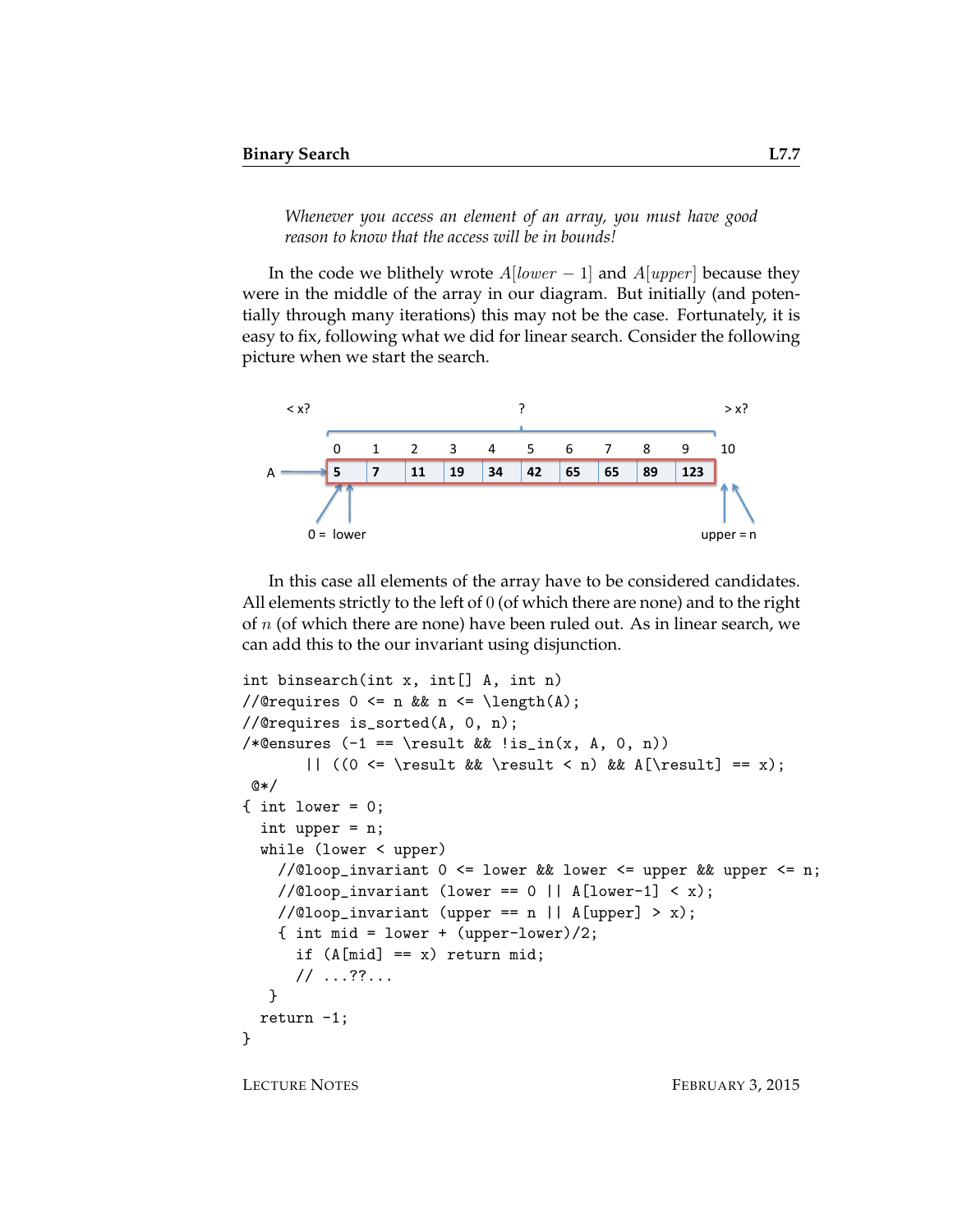*Whenever you access an element of an array, you must have good reason to know that the access will be in bounds!*

In the code we blithely wrote  $A[lower-1]$  and  $A[upper]$  because they were in the middle of the array in our diagram. But initially (and potentially through many iterations) this may not be the case. Fortunately, it is easy to fix, following what we did for linear search. Consider the following picture when we start the search.



In this case all elements of the array have to be considered candidates. All elements strictly to the left of 0 (of which there are none) and to the right of  $n$  (of which there are none) have been ruled out. As in linear search, we can add this to the our invariant using disjunction.

```
int binsearch(int x, int[] A, int n)
//@requires 0 \leq n & n \leq \operatorname{length}(A);
//@requires is_sorted(A, 0, n);
/*@ensures (-1 == \result \& !is_in(x, A, 0, n))|| ((0 <= \result && \result < n) && A[\result] == x);
@*/
\{ int lower = 0;
  int upper = n;
  while (lower < upper)
    //@loop\_invariant 0 <= lower && lower <= upper && upper <= n;
    //@loop_invariant (lower == 0 || A[lower-1] < x);
    //@loop_invariant (upper == n || A[upper] > x);
    { int mid = lower + (upper-lower)/2;
      if (A[\text{mid}] == x) return mid;
      // ...??...
   }
  return -1;
}
```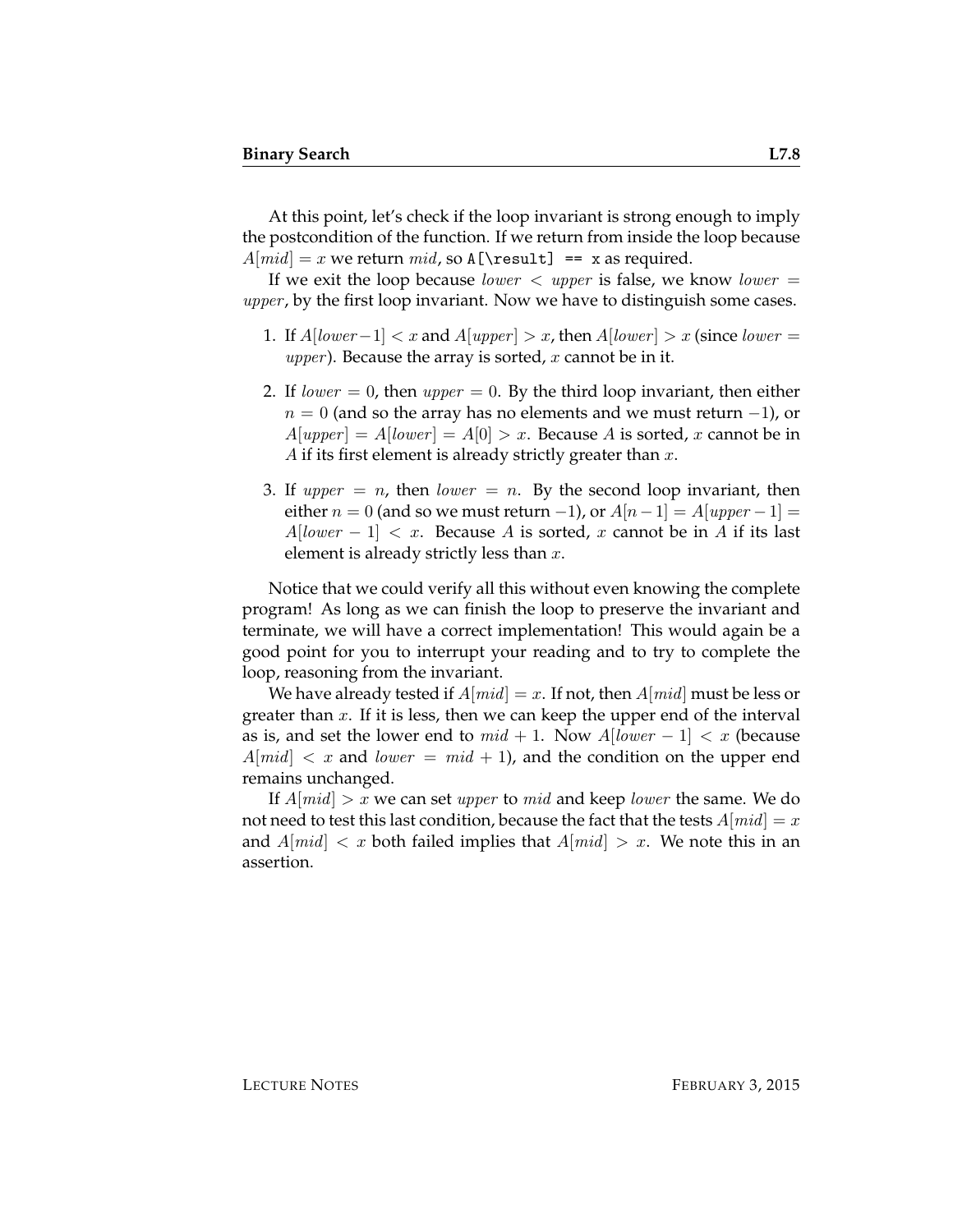At this point, let's check if the loop invariant is strong enough to imply the postcondition of the function. If we return from inside the loop because  $A[mid] = x$  we return mid, so A[\result] == x as required.

If we exit the loop because *lower*  $\langle$  upper is false, we know *lower*  $=$ upper, by the first loop invariant. Now we have to distinguish some cases.

- 1. If  $A[lower-1] < x$  and  $A[upper] > x$ , then  $A[lower] > x$  (since lower = *upper*). Because the array is sorted,  $x$  cannot be in it.
- 2. If lower  $= 0$ , then upper  $= 0$ . By the third loop invariant, then either  $n = 0$  (and so the array has no elements and we must return  $-1$ ), or  $A[upper] = A[lower] = A[0] > x$ . Because A is sorted, x cannot be in A if its first element is already strictly greater than  $x$ .
- 3. If upper  $= n$ , then lower  $= n$ . By the second loop invariant, then either  $n = 0$  (and so we must return -1), or  $A[n-1] = A[upper-1] =$  $A[lower-1] < x$ . Because A is sorted, x cannot be in A if its last element is already strictly less than  $x$ .

Notice that we could verify all this without even knowing the complete program! As long as we can finish the loop to preserve the invariant and terminate, we will have a correct implementation! This would again be a good point for you to interrupt your reading and to try to complete the loop, reasoning from the invariant.

We have already tested if  $A[mid] = x$ . If not, then  $A[mid]$  must be less or greater than  $x$ . If it is less, then we can keep the upper end of the interval as is, and set the lower end to  $mid + 1$ . Now  $A[lower - 1] < x$  (because  $A[\text{mid}] < x$  and lower =  $\text{mid} + 1$ ), and the condition on the upper end remains unchanged.

If  $A[\text{mid}] > x$  we can set upper to mid and keep lower the same. We do not need to test this last condition, because the fact that the tests  $A[mid] = x$ and  $A[\text{mid}] < x$  both failed implies that  $A[\text{mid}] > x$ . We note this in an assertion.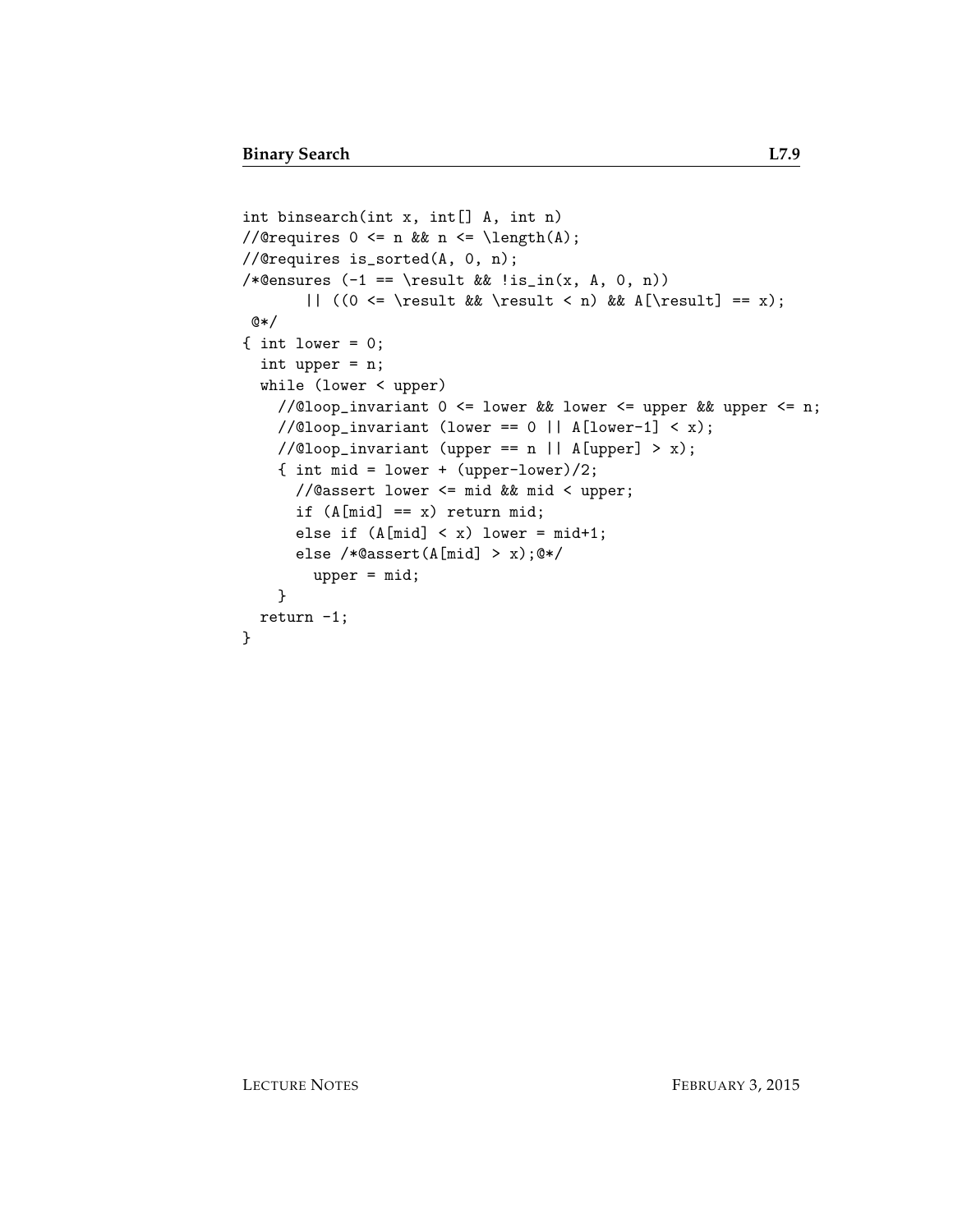```
int binsearch(int x, int[] A, int n)
//@requires 0 \leq n && n \leq \leq \lambda(A);
//@requires is_sorted(A, 0, n);
/*@ensures (-1 == \result \& \lis_in(x, A, 0, n))|| ((0 \le \result \& \result \le n) \& A[\result] == x);@*/
\{ int lower = 0;
  int upper = n;
  while (lower < upper)
    //@loop_invariant 0 \le lower && lower \le upper && upper \le n;
    //@loop\_invariant (lower == 0 || A[lower-1] < x);
    //@loop_invariant (upper == n || A[upper] > x);{ int mid = lower + (upper-lower)/2;
      //@assert lower <= mid && mid < upper;
      if (A[\text{mid}] == x) return mid;
      else if (A[\text{mid}] < x) lower = mid+1;
      else /*@assert(A[mid] > x);@*/
        upper = mid;
    }
 return -1;
}
```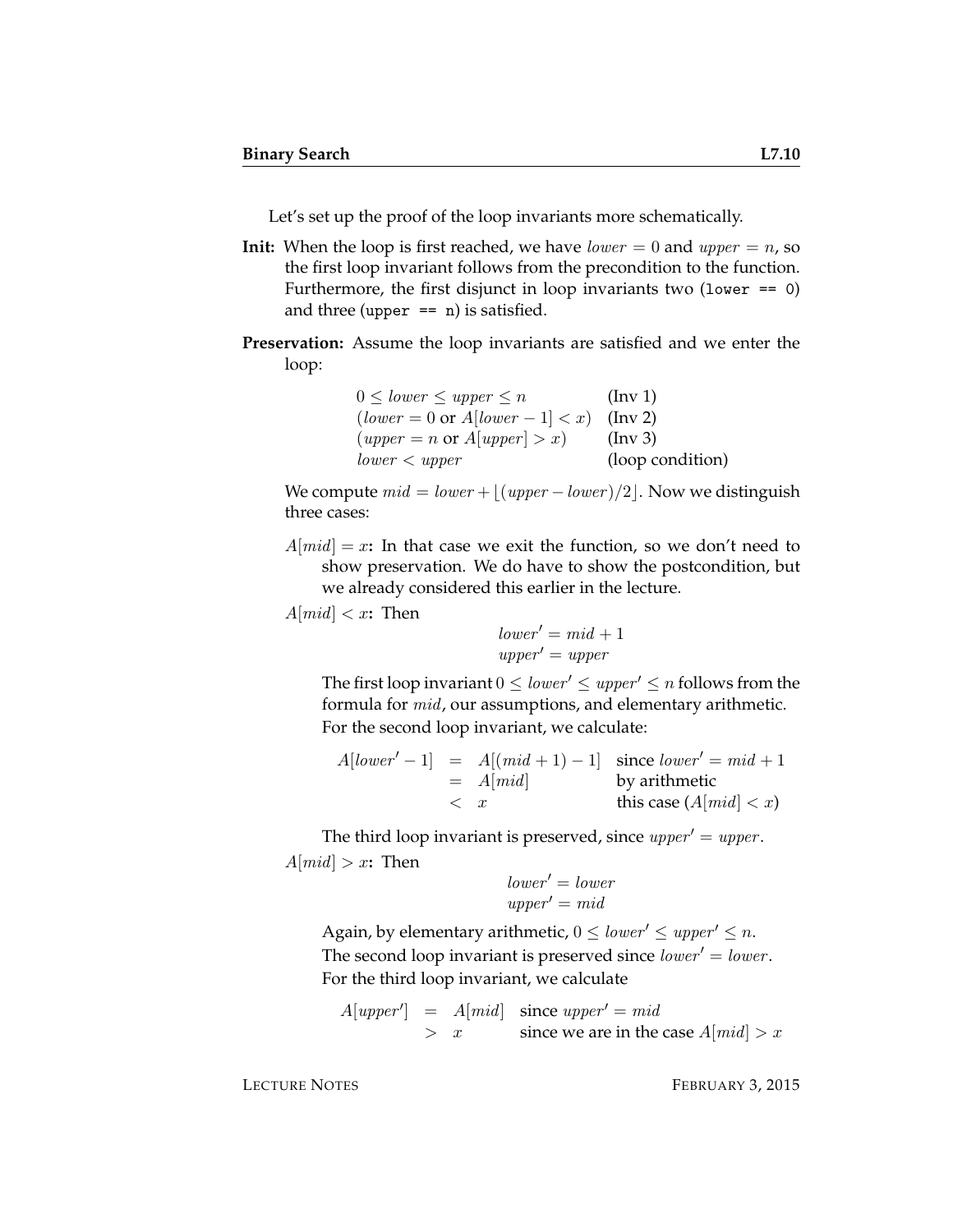Let's set up the proof of the loop invariants more schematically.

- **Init:** When the loop is first reached, we have  $lower = 0$  and  $upper = n$ , so the first loop invariant follows from the precondition to the function. Furthermore, the first disjunct in loop invariants two (lower  $== 0$ ) and three (upper  $== n$ ) is satisfied.
- **Preservation:** Assume the loop invariants are satisfied and we enter the loop:

| $0 \leq lower \leq upper \leq n$                   | $(\text{Inv } 1)$ |
|----------------------------------------------------|-------------------|
| $(lower = 0 \text{ or } A[lower - 1] < x)$ (Inv 2) |                   |
| $(upper = n \text{ or } A[upper] > x)$             | $(\ln v 3)$       |
| lower < upper                                      | (loop condition)  |

We compute  $mid = lower + \lfloor (upper - lower) / 2 \rfloor$ . Now we distinguish three cases:

 $A[mid] = x$ : In that case we exit the function, so we don't need to show preservation. We do have to show the postcondition, but we already considered this earlier in the lecture.

 $A[mid] < x$ : Then

 $lower' = mid + 1$  $upper' = upper$ 

The first loop invariant  $0 \leq lower' \leq upper' \leq n$  follows from the formula for mid, our assumptions, and elementary arithmetic. For the second loop invariant, we calculate:

A[lower <sup>0</sup> − 1] = A[(mid + 1) − 1] since lower <sup>0</sup> = mid + 1 = A[mid] by arithmetic < x this case (A[mid] < x)

The third loop invariant is preserved, since  $upper' = upper$ .  $A[mid] > x$ **:** Then

$$
lower' = lowerupper' = mid
$$

Again, by elementary arithmetic,  $0 \leq lower' \leq upper' \leq n$ . The second loop invariant is preserved since  $lower' = lower$ . For the third loop invariant, we calculate

 $A[upper'] = A[mid]$  since  $upper' = mid$  $> x$  since we are in the case  $A[mid] > x$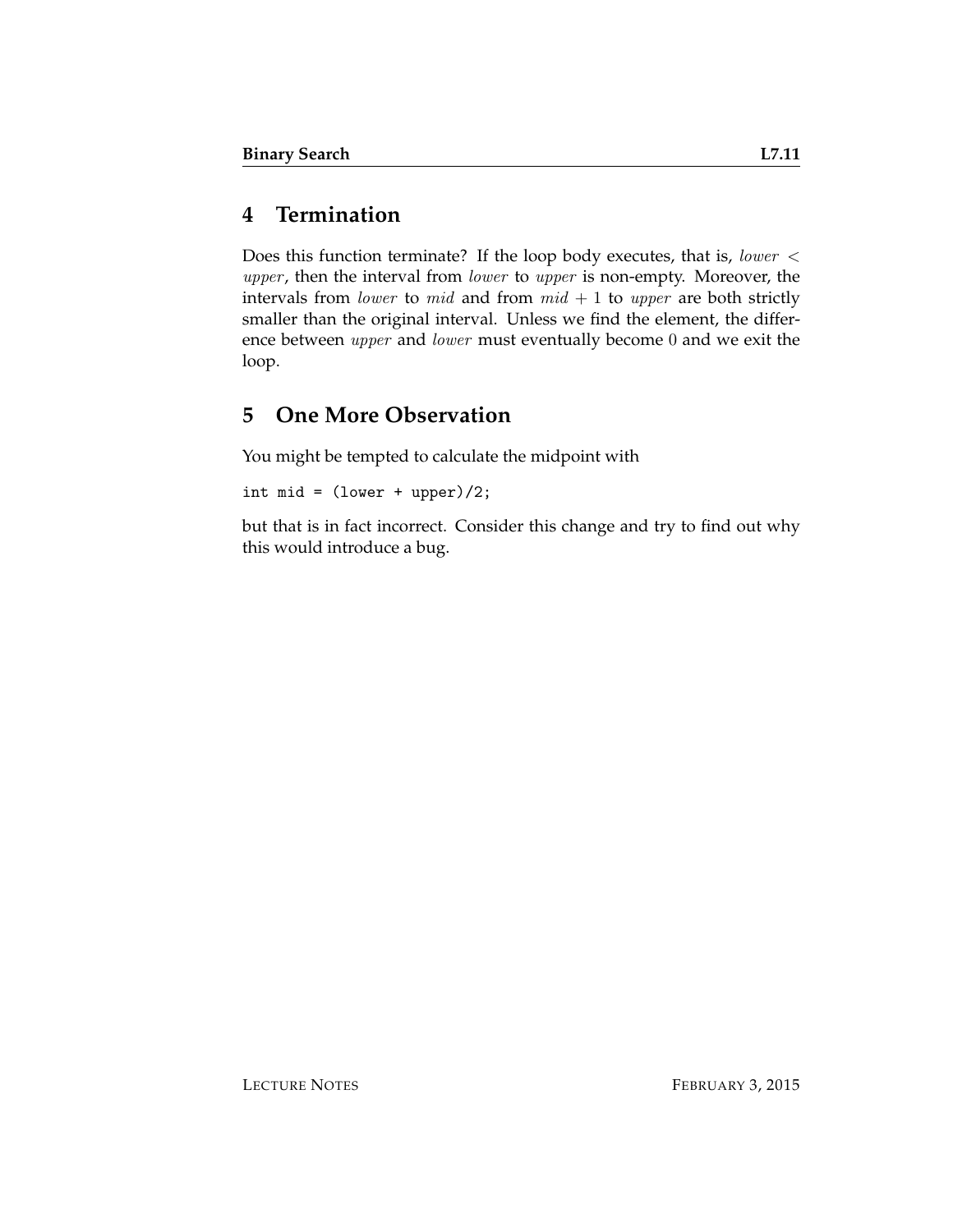## **4 Termination**

Does this function terminate? If the loop body executes, that is, lower < upper, then the interval from lower to upper is non-empty. Moreover, the intervals from *lower* to *mid* and from  $mid + 1$  to *upper* are both strictly smaller than the original interval. Unless we find the element, the difference between upper and lower must eventually become 0 and we exit the loop.

## **5 One More Observation**

You might be tempted to calculate the midpoint with

int mid =  $(lower + upper)/2$ ;

but that is in fact incorrect. Consider this change and try to find out why this would introduce a bug.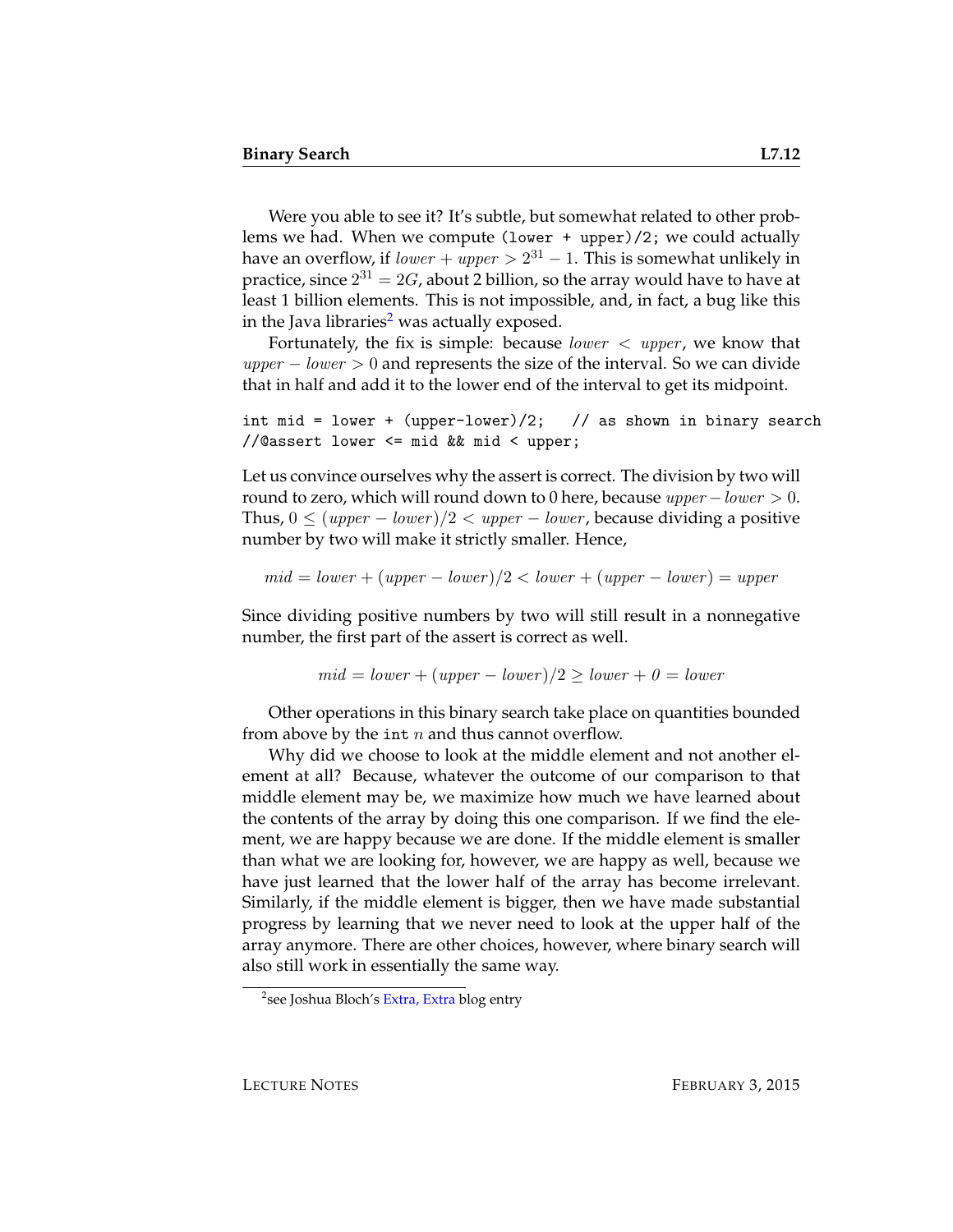Were you able to see it? It's subtle, but somewhat related to other problems we had. When we compute (lower + upper)/2; we could actually have an overflow, if  $\mathit{lower} + \mathit{upper} > 2^{31} - 1.$  This is somewhat unlikely in practice, since  $2^{31}=2G$ , about 2 billion, so the array would have to have at least 1 billion elements. This is not impossible, and, in fact, a bug like this in the Java libraries<sup>[2](#page-11-0)</sup> was actually exposed.

Fortunately, the fix is simple: because *lower*  $\langle$  *upper*, we know that  $upper - lower > 0$  and represents the size of the interval. So we can divide that in half and add it to the lower end of the interval to get its midpoint.

int mid = lower + (upper-lower)/2; // as shown in binary search //@assert lower <= mid && mid < upper;

Let us convince ourselves why the assert is correct. The division by two will round to zero, which will round down to 0 here, because  $upper-lower > 0$ . Thus,  $0 \leq (upper - lower)/2 < upper - lower$ , because dividing a positive number by two will make it strictly smaller. Hence,

$$
mid = lower + (upper - lower)/2 < lower + (upper - lower) = upper
$$

Since dividing positive numbers by two will still result in a nonnegative number, the first part of the assert is correct as well.

$$
mid = lower + (upper - lower)/2 \ge lower + 0 = lower
$$

Other operations in this binary search take place on quantities bounded from above by the int  $n$  and thus cannot overflow.

Why did we choose to look at the middle element and not another element at all? Because, whatever the outcome of our comparison to that middle element may be, we maximize how much we have learned about the contents of the array by doing this one comparison. If we find the element, we are happy because we are done. If the middle element is smaller than what we are looking for, however, we are happy as well, because we have just learned that the lower half of the array has become irrelevant. Similarly, if the middle element is bigger, then we have made substantial progress by learning that we never need to look at the upper half of the array anymore. There are other choices, however, where binary search will also still work in essentially the same way.

<span id="page-11-0"></span><sup>&</sup>lt;sup>2</sup>see Joshua Bloch's [Extra, Extra](http://googleresearch.blogspot.com/2006/06/extra-extra-read-all-about-it-nearly.html) blog entry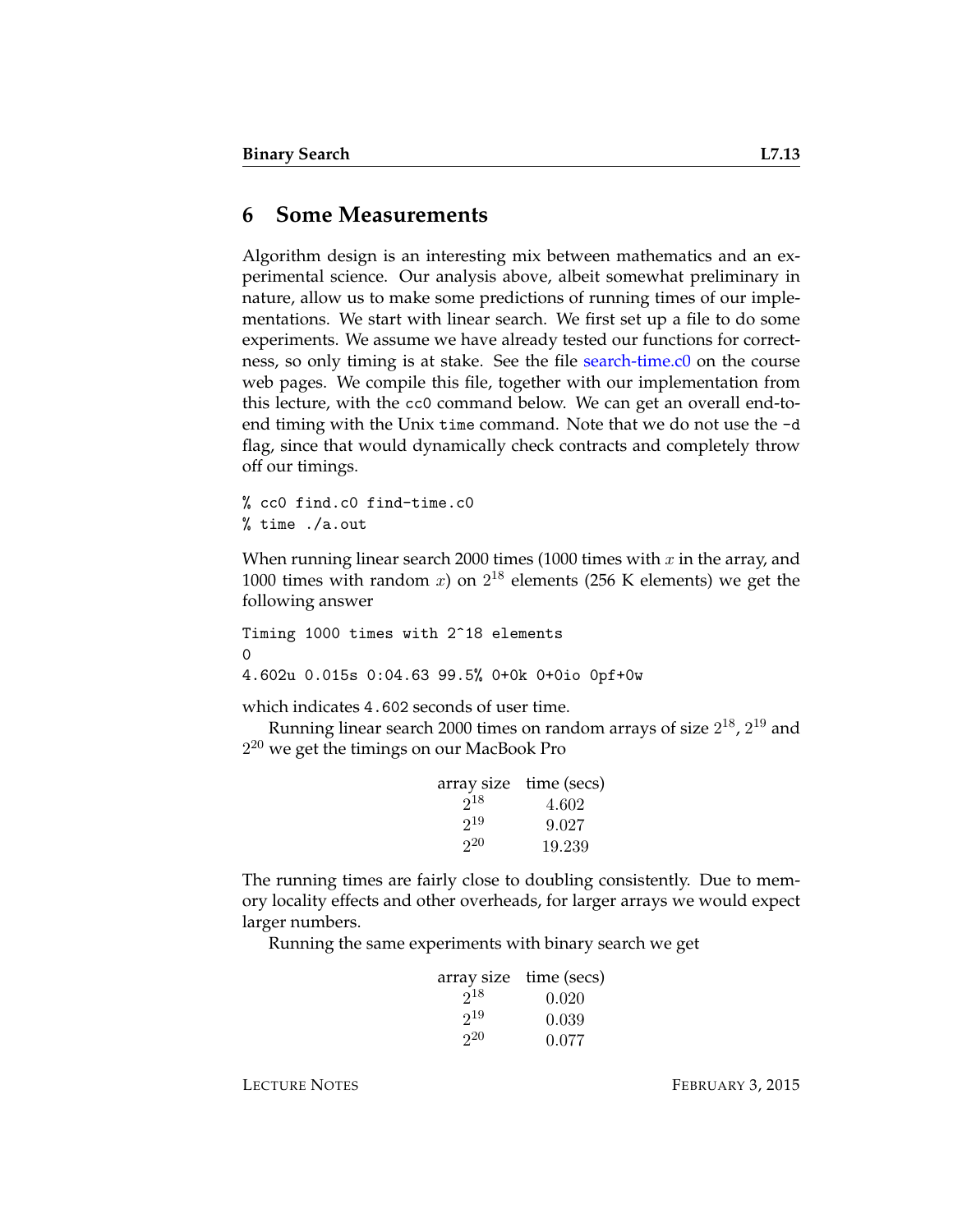#### **6 Some Measurements**

Algorithm design is an interesting mix between mathematics and an experimental science. Our analysis above, albeit somewhat preliminary in nature, allow us to make some predictions of running times of our implementations. We start with linear search. We first set up a file to do some experiments. We assume we have already tested our functions for correctness, so only timing is at stake. See the file [search-time.c0](http://www.cs.cmu.edu/~fp/courses/15122-f14/lectures/07-binsearch/search-time.c0) on the course web pages. We compile this file, together with our implementation from this lecture, with the cc0 command below. We can get an overall end-toend timing with the Unix time command. Note that we do not use the -d flag, since that would dynamically check contracts and completely throw off our timings.

% cc0 find.c0 find-time.c0 % time ./a.out

When running linear search 2000 times (1000 times with  $x$  in the array, and 1000 times with random  $x$ ) on  $2^{18}$  elements (256 K elements) we get the following answer

Timing 1000 times with 2^18 elements  $\Omega$ 4.602u 0.015s 0:04.63 99.5% 0+0k 0+0io 0pf+0w

which indicates 4.602 seconds of user time.

Running linear search 2000 times on random arrays of size  $2^{18}$ ,  $2^{19}$  and  $2^{20}$  we get the timings on our MacBook Pro

|          | array size time (secs) |
|----------|------------------------|
| $2^{18}$ | 4.602                  |
| $2^{19}$ | 9.027                  |
| 20       | 19.239                 |

The running times are fairly close to doubling consistently. Due to memory locality effects and other overheads, for larger arrays we would expect larger numbers.

Running the same experiments with binary search we get

|          | array size time (secs) |
|----------|------------------------|
| $2^{18}$ | 0.020                  |
| $2^{19}$ | 0.039                  |
| $2^{20}$ | 0.077                  |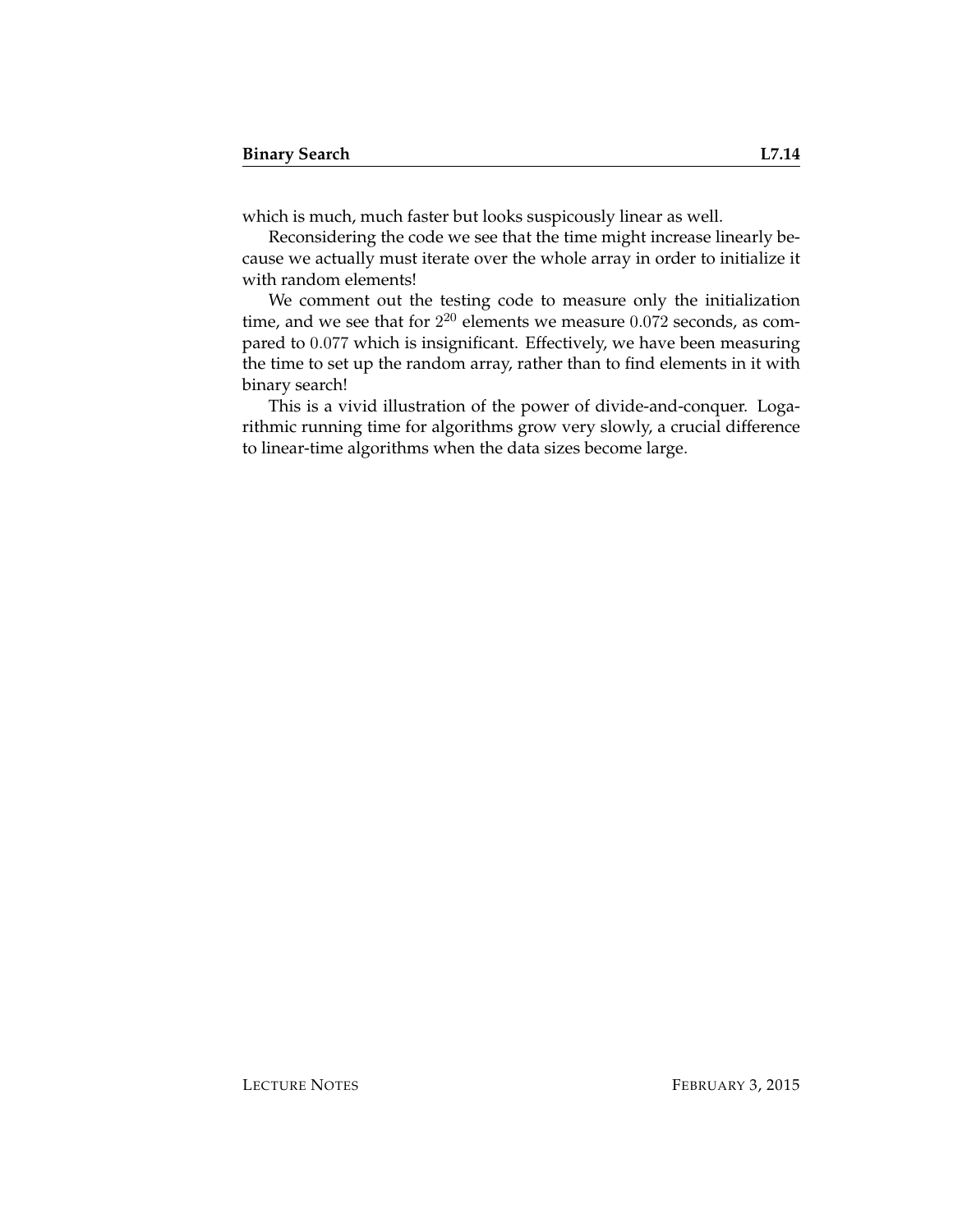which is much, much faster but looks suspicously linear as well.

Reconsidering the code we see that the time might increase linearly because we actually must iterate over the whole array in order to initialize it with random elements!

We comment out the testing code to measure only the initialization time, and we see that for  $2^{20}$  elements we measure  $0.072$  seconds, as compared to 0.077 which is insignificant. Effectively, we have been measuring the time to set up the random array, rather than to find elements in it with binary search!

This is a vivid illustration of the power of divide-and-conquer. Logarithmic running time for algorithms grow very slowly, a crucial difference to linear-time algorithms when the data sizes become large.